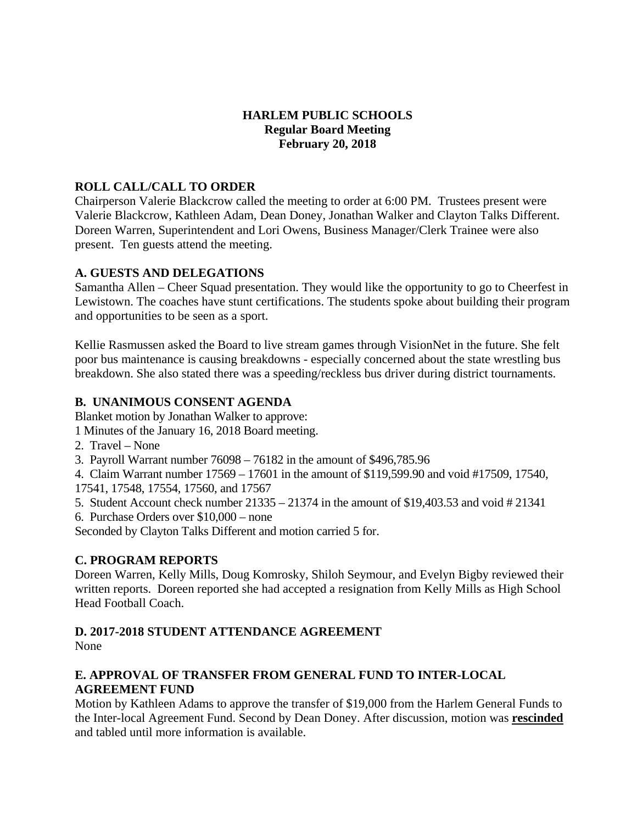# **HARLEM PUBLIC SCHOOLS Regular Board Meeting February 20, 2018**

# **ROLL CALL/CALL TO ORDER**

Chairperson Valerie Blackcrow called the meeting to order at 6:00 PM. Trustees present were Valerie Blackcrow, Kathleen Adam, Dean Doney, Jonathan Walker and Clayton Talks Different. Doreen Warren, Superintendent and Lori Owens, Business Manager/Clerk Trainee were also present. Ten guests attend the meeting.

#### **A. GUESTS AND DELEGATIONS**

Samantha Allen – Cheer Squad presentation. They would like the opportunity to go to Cheerfest in Lewistown. The coaches have stunt certifications. The students spoke about building their program and opportunities to be seen as a sport.

Kellie Rasmussen asked the Board to live stream games through VisionNet in the future. She felt poor bus maintenance is causing breakdowns - especially concerned about the state wrestling bus breakdown. She also stated there was a speeding/reckless bus driver during district tournaments.

#### **B. UNANIMOUS CONSENT AGENDA**

Blanket motion by Jonathan Walker to approve:

1 Minutes of the January 16, 2018 Board meeting.

- 2. Travel None
- 3. Payroll Warrant number 76098 76182 in the amount of \$496,785.96

4. Claim Warrant number 17569 – 17601 in the amount of \$119,599.90 and void #17509, 17540, 17541, 17548, 17554, 17560, and 17567

- 5. Student Account check number 21335 21374 in the amount of \$19,403.53 and void # 21341
- 6. Purchase Orders over \$10,000 none

Seconded by Clayton Talks Different and motion carried 5 for.

# **C. PROGRAM REPORTS**

Doreen Warren, Kelly Mills, Doug Komrosky, Shiloh Seymour, and Evelyn Bigby reviewed their written reports. Doreen reported she had accepted a resignation from Kelly Mills as High School Head Football Coach.

# **D. 2017-2018 STUDENT ATTENDANCE AGREEMENT**

None

# **E. APPROVAL OF TRANSFER FROM GENERAL FUND TO INTER-LOCAL AGREEMENT FUND**

Motion by Kathleen Adams to approve the transfer of \$19,000 from the Harlem General Funds to the Inter-local Agreement Fund. Second by Dean Doney. After discussion, motion was **rescinded** and tabled until more information is available.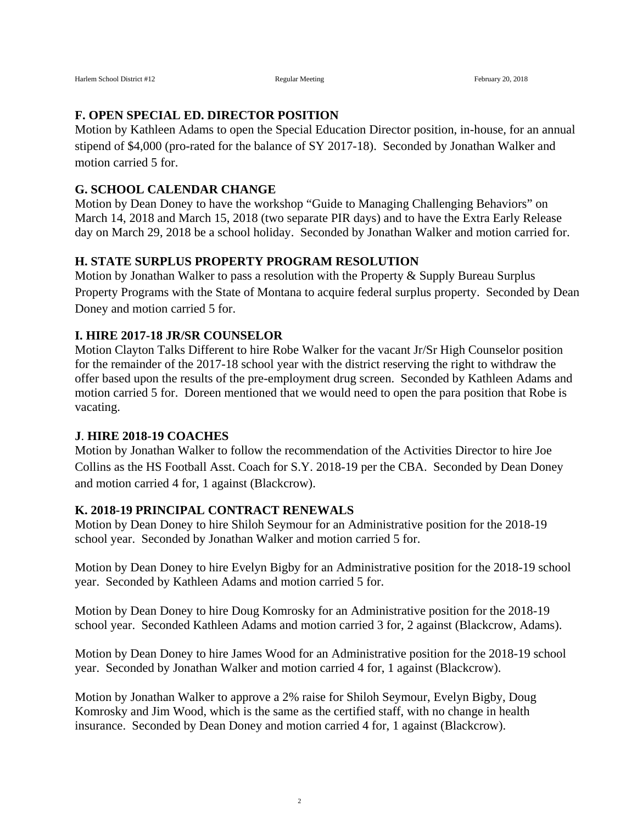#### **F. OPEN SPECIAL ED. DIRECTOR POSITION**

Motion by Kathleen Adams to open the Special Education Director position, in-house, for an annual stipend of \$4,000 (pro-rated for the balance of SY 2017-18). Seconded by Jonathan Walker and motion carried 5 for.

# **G. SCHOOL CALENDAR CHANGE**

Motion by Dean Doney to have the workshop "Guide to Managing Challenging Behaviors" on March 14, 2018 and March 15, 2018 (two separate PIR days) and to have the Extra Early Release day on March 29, 2018 be a school holiday. Seconded by Jonathan Walker and motion carried for.

#### **H. STATE SURPLUS PROPERTY PROGRAM RESOLUTION**

Motion by Jonathan Walker to pass a resolution with the Property & Supply Bureau Surplus Property Programs with the State of Montana to acquire federal surplus property. Seconded by Dean Doney and motion carried 5 for.

#### **I. HIRE 2017-18 JR/SR COUNSELOR**

Motion Clayton Talks Different to hire Robe Walker for the vacant Jr/Sr High Counselor position for the remainder of the 2017-18 school year with the district reserving the right to withdraw the offer based upon the results of the pre-employment drug screen. Seconded by Kathleen Adams and motion carried 5 for. Doreen mentioned that we would need to open the para position that Robe is vacating.

#### **J**. **HIRE 2018-19 COACHES**

Motion by Jonathan Walker to follow the recommendation of the Activities Director to hire Joe Collins as the HS Football Asst. Coach for S.Y. 2018-19 per the CBA. Seconded by Dean Doney and motion carried 4 for, 1 against (Blackcrow).

#### **K. 2018-19 PRINCIPAL CONTRACT RENEWALS**

Motion by Dean Doney to hire Shiloh Seymour for an Administrative position for the 2018-19 school year. Seconded by Jonathan Walker and motion carried 5 for.

Motion by Dean Doney to hire Evelyn Bigby for an Administrative position for the 2018-19 school year. Seconded by Kathleen Adams and motion carried 5 for.

Motion by Dean Doney to hire Doug Komrosky for an Administrative position for the 2018-19 school year. Seconded Kathleen Adams and motion carried 3 for, 2 against (Blackcrow, Adams).

Motion by Dean Doney to hire James Wood for an Administrative position for the 2018-19 school year. Seconded by Jonathan Walker and motion carried 4 for, 1 against (Blackcrow).

Motion by Jonathan Walker to approve a 2% raise for Shiloh Seymour, Evelyn Bigby, Doug Komrosky and Jim Wood, which is the same as the certified staff, with no change in health insurance. Seconded by Dean Doney and motion carried 4 for, 1 against (Blackcrow).